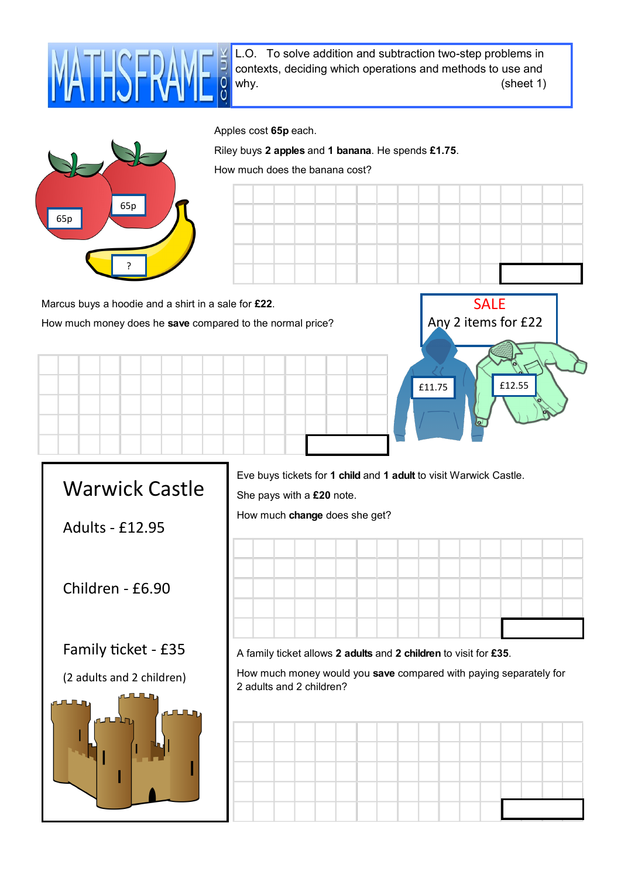

L.O. To solve addition and subtraction two-step problems in contexts, deciding which operations and methods to use and why. (sheet 1)



Riley buys **2 apples** and **1 banana**. He spends **£1.75**.

How much does the banana cost?



Marcus buys a hoodie and a shirt in a sale for **£22**. How much money does he **save** compared to the normal price?





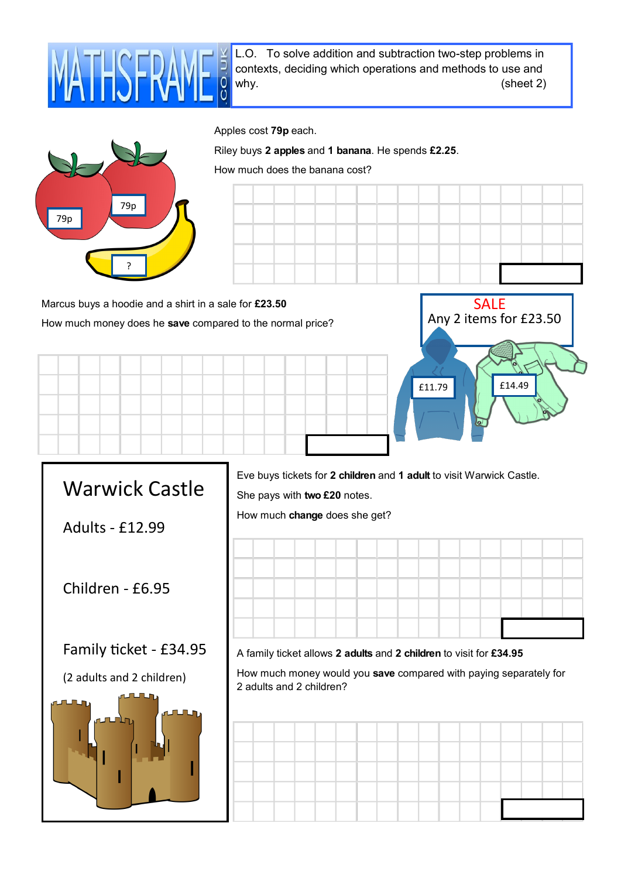

L.O. To solve addition and subtraction two-step problems in contexts, deciding which operations and methods to use and why. (sheet 2)



Riley buys **2 apples** and **1 banana**. He spends **£2.25**.

How much does the banana cost?



Marcus buys a hoodie and a shirt in a sale for **£23.50** How much money does he **save** compared to the normal price?